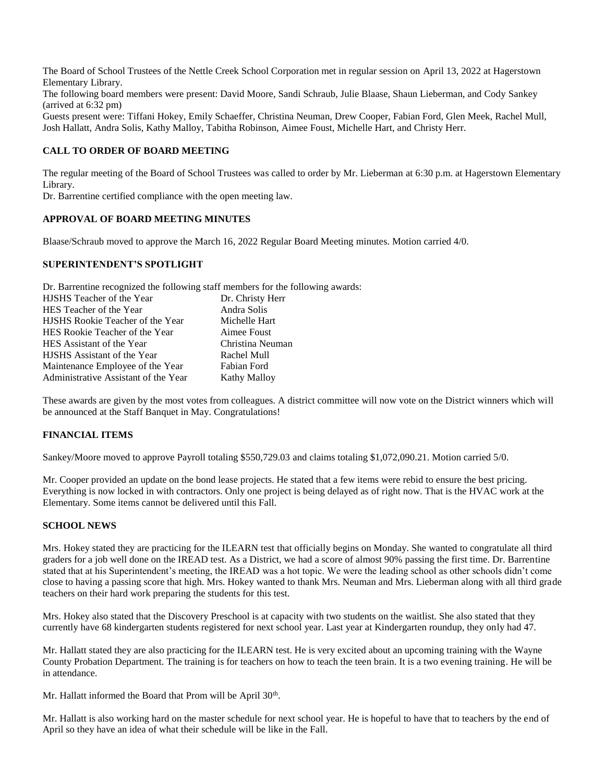The Board of School Trustees of the Nettle Creek School Corporation met in regular session on April 13, 2022 at Hagerstown Elementary Library.

The following board members were present: David Moore, Sandi Schraub, Julie Blaase, Shaun Lieberman, and Cody Sankey (arrived at 6:32 pm)

Guests present were: Tiffani Hokey, Emily Schaeffer, Christina Neuman, Drew Cooper, Fabian Ford, Glen Meek, Rachel Mull, Josh Hallatt, Andra Solis, Kathy Malloy, Tabitha Robinson, Aimee Foust, Michelle Hart, and Christy Herr.

### **CALL TO ORDER OF BOARD MEETING**

The regular meeting of the Board of School Trustees was called to order by Mr. Lieberman at 6:30 p.m. at Hagerstown Elementary Library.

Dr. Barrentine certified compliance with the open meeting law.

### **APPROVAL OF BOARD MEETING MINUTES**

Blaase/Schraub moved to approve the March 16, 2022 Regular Board Meeting minutes. Motion carried 4/0.

### **SUPERINTENDENT'S SPOTLIGHT**

Dr. Barrentine recognized the following staff members for the following awards:

| HJSHS Teacher of the Year            | Dr. Christy Herr    |
|--------------------------------------|---------------------|
| HES Teacher of the Year              | Andra Solis         |
| HJSHS Rookie Teacher of the Year     | Michelle Hart       |
| HES Rookie Teacher of the Year       | Aimee Foust         |
| HES Assistant of the Year            | Christina Neuman    |
| HJSHS Assistant of the Year          | Rachel Mull         |
| Maintenance Employee of the Year     | Fabian Ford         |
| Administrative Assistant of the Year | <b>Kathy Malloy</b> |

These awards are given by the most votes from colleagues. A district committee will now vote on the District winners which will be announced at the Staff Banquet in May. Congratulations!

## **FINANCIAL ITEMS**

Sankey/Moore moved to approve Payroll totaling \$550,729.03 and claims totaling \$1,072,090.21. Motion carried 5/0.

Mr. Cooper provided an update on the bond lease projects. He stated that a few items were rebid to ensure the best pricing. Everything is now locked in with contractors. Only one project is being delayed as of right now. That is the HVAC work at the Elementary. Some items cannot be delivered until this Fall.

#### **SCHOOL NEWS**

Mrs. Hokey stated they are practicing for the ILEARN test that officially begins on Monday. She wanted to congratulate all third graders for a job well done on the IREAD test. As a District, we had a score of almost 90% passing the first time. Dr. Barrentine stated that at his Superintendent's meeting, the IREAD was a hot topic. We were the leading school as other schools didn't come close to having a passing score that high. Mrs. Hokey wanted to thank Mrs. Neuman and Mrs. Lieberman along with all third grade teachers on their hard work preparing the students for this test.

Mrs. Hokey also stated that the Discovery Preschool is at capacity with two students on the waitlist. She also stated that they currently have 68 kindergarten students registered for next school year. Last year at Kindergarten roundup, they only had 47.

Mr. Hallatt stated they are also practicing for the ILEARN test. He is very excited about an upcoming training with the Wayne County Probation Department. The training is for teachers on how to teach the teen brain. It is a two evening training. He will be in attendance.

Mr. Hallatt informed the Board that Prom will be April 30<sup>th</sup>.

Mr. Hallatt is also working hard on the master schedule for next school year. He is hopeful to have that to teachers by the end of April so they have an idea of what their schedule will be like in the Fall.